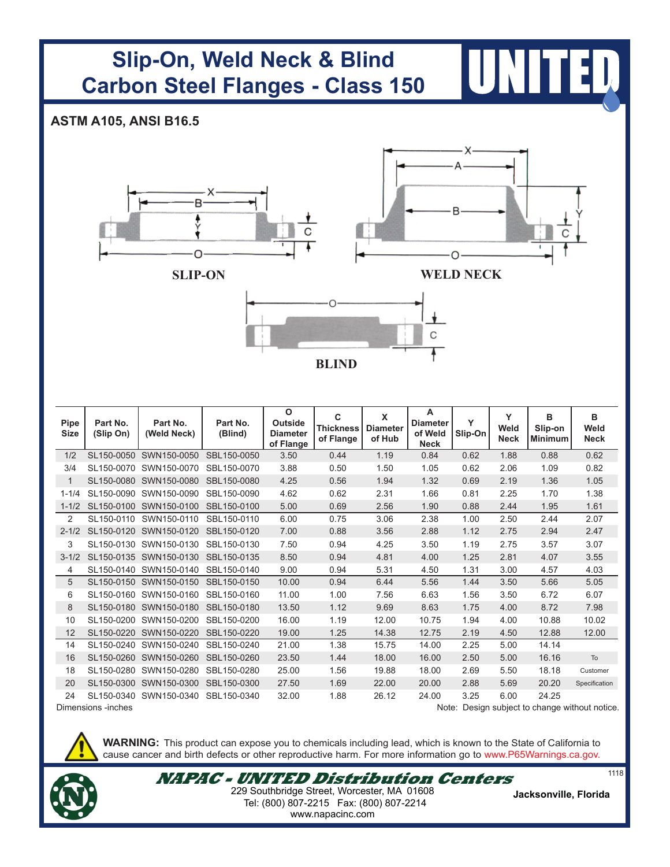## **Slip-On, Weld Neck & Blind Carbon Steel Flanges - Class 150**

## **ASTM A105, ANSI B16.5**



| <b>Pipe</b><br><b>Size</b>                                          | Part No.<br>(Slip On) | Part No.<br>(Weld Neck) | Part No.<br>(Blind) | $\mathbf{o}$<br><b>Outside</b><br><b>Diameter</b><br>of Flange | C<br><b>Thickness</b><br>of Flange | X<br><b>Diameter</b><br>of Hub | A<br><b>Diameter</b><br>of Weld<br><b>Neck</b> | Y<br>Slip-On | Y<br>Weld<br><b>Neck</b> | в<br>Slip-on<br><b>Minimum</b> | B<br>Weld<br><b>Neck</b> |
|---------------------------------------------------------------------|-----------------------|-------------------------|---------------------|----------------------------------------------------------------|------------------------------------|--------------------------------|------------------------------------------------|--------------|--------------------------|--------------------------------|--------------------------|
| 1/2                                                                 | SL150-0050            | SWN150-0050             | SBL150-0050         | 3.50                                                           | 0.44                               | 1.19                           | 0.84                                           | 0.62         | 1.88                     | 0.88                           | 0.62                     |
| 3/4                                                                 |                       | SL150-0070 SWN150-0070  | SBL150-0070         | 3.88                                                           | 0.50                               | 1.50                           | 1.05                                           | 0.62         | 2.06                     | 1.09                           | 0.82                     |
| $\mathbf{1}$                                                        | SL150-0080            | SWN150-0080             | SBL150-0080         | 4.25                                                           | 0.56                               | 1.94                           | 1.32                                           | 0.69         | 2.19                     | 1.36                           | 1.05                     |
| $1 - 1/4$                                                           | SL150-0090            | SWN150-0090             | SBL150-0090         | 4.62                                                           | 0.62                               | 2.31                           | 1.66                                           | 0.81         | 2.25                     | 1.70                           | 1.38                     |
| $1 - 1/2$                                                           | SL150-0100            | SWN150-0100             | SBL150-0100         | 5.00                                                           | 0.69                               | 2.56                           | 1.90                                           | 0.88         | 2.44                     | 1.95                           | 1.61                     |
| 2                                                                   | SL150-0110            | SWN150-0110             | SBL150-0110         | 6.00                                                           | 0.75                               | 3.06                           | 2.38                                           | 1.00         | 2.50                     | 2.44                           | 2.07                     |
| $2 - 1/2$                                                           |                       | SL150-0120 SWN150-0120  | SBL150-0120         | 7.00                                                           | 0.88                               | 3.56                           | 2.88                                           | 1.12         | 2.75                     | 2.94                           | 2.47                     |
| 3                                                                   | SL150-0130            | SWN150-0130             | SBL150-0130         | 7.50                                                           | 0.94                               | 4.25                           | 3.50                                           | 1.19         | 2.75                     | 3.57                           | 3.07                     |
| $3 - 1/2$                                                           |                       | SL150-0135 SWN150-0130  | SBL150-0135         | 8.50                                                           | 0.94                               | 4.81                           | 4.00                                           | 1.25         | 2.81                     | 4.07                           | 3.55                     |
| 4                                                                   |                       | SL150-0140 SWN150-0140  | SBL150-0140         | 9.00                                                           | 0.94                               | 5.31                           | 4.50                                           | 1.31         | 3.00                     | 4.57                           | 4.03                     |
| 5                                                                   |                       | SL150-0150 SWN150-0150  | SBL150-0150         | 10.00                                                          | 0.94                               | 6.44                           | 5.56                                           | 1.44         | 3.50                     | 5.66                           | 5.05                     |
| 6                                                                   |                       | SL150-0160 SWN150-0160  | SBL150-0160         | 11.00                                                          | 1.00                               | 7.56                           | 6.63                                           | 1.56         | 3.50                     | 6.72                           | 6.07                     |
| 8                                                                   |                       | SL150-0180 SWN150-0180  | SBL150-0180         | 13.50                                                          | 1.12                               | 9.69                           | 8.63                                           | 1.75         | 4.00                     | 8.72                           | 7.98                     |
| 10                                                                  | SL150-0200            | SWN150-0200             | SBL150-0200         | 16.00                                                          | 1.19                               | 12.00                          | 10.75                                          | 1.94         | 4.00                     | 10.88                          | 10.02                    |
| 12                                                                  |                       | SL150-0220 SWN150-0220  | SBL150-0220         | 19.00                                                          | 1.25                               | 14.38                          | 12.75                                          | 2.19         | 4.50                     | 12.88                          | 12.00                    |
| 14                                                                  |                       | SL150-0240 SWN150-0240  | SBL150-0240         | 21.00                                                          | 1.38                               | 15.75                          | 14.00                                          | 2.25         | 5.00                     | 14.14                          |                          |
| 16                                                                  |                       | SL150-0260 SWN150-0260  | SBL150-0260         | 23.50                                                          | 1.44                               | 18.00                          | 16.00                                          | 2.50         | 5.00                     | 16.16                          | To                       |
| 18                                                                  |                       | SL150-0280 SWN150-0280  | SBL150-0280         | 25.00                                                          | 1.56                               | 19.88                          | 18.00                                          | 2.69         | 5.50                     | 18.18                          | Customer                 |
| 20                                                                  |                       | SL150-0300 SWN150-0300  | SBL150-0300         | 27.50                                                          | 1.69                               | 22.00                          | 20.00                                          | 2.88         | 5.69                     | 20.20                          | Specification            |
| 24                                                                  |                       | SL150-0340 SWN150-0340  | SBL150-0340         | 32.00                                                          | 1.88                               | 26.12                          | 24.00                                          | 3.25         | 6.00                     | 24.25                          |                          |
| Note: Design subject to change without notice<br>Dimensions -inches |                       |                         |                     |                                                                |                                    |                                |                                                |              |                          |                                |                          |

Note: Design subject to change without notice.

**WARNING:** This product can expose you to chemicals including lead, which is known to the State of California to cause cancer and birth defects or other reproductive harm. For more information go to www.P65Warnings.ca.gov.



**NAPAC - UNITED Distribution Centers** Tel: (800) 807-2215 Fax: (800) 807-2214 **Jacksonville, Florida** 229 Southbridge Street, Worcester, MA 01608 www.napacinc.com

1118